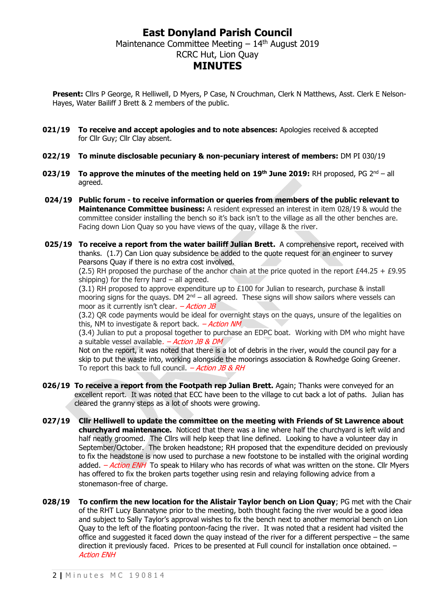## **East Donyland Parish Council** Maintenance Committee Meeting  $-14<sup>th</sup>$  August 2019 RCRC Hut, Lion Quay **MINUTES**

**Present:** Cllrs P George, R Helliwell, D Myers, P Case, N Crouchman, Clerk N Matthews, Asst. Clerk E Nelson-Hayes, Water Bailiff J Brett & 2 members of the public.

- **021/19 To receive and accept apologies and to note absences:** Apologies received & accepted for Cllr Guy; Cllr Clay absent.
- **022/19 To minute disclosable pecuniary & non-pecuniary interest of members:** DM PI 030/19
- **023/19** To approve the minutes of the meeting held on 19<sup>th</sup> June 2019: RH proposed, PG 2<sup>nd</sup> all agreed.
- **024/19 Public forum - to receive information or queries from members of the public relevant to Maintenance Committee business:** A resident expressed an interest in item 028/19 & would the committee consider installing the bench so it's back isn't to the village as all the other benches are. Facing down Lion Quay so you have views of the quay, village & the river.
- **025/19 To receive a report from the water bailiff Julian Brett.** A comprehensive report, received with thanks. (1.7) Can Lion quay subsidence be added to the quote request for an engineer to survey Pearsons Quay if there is no extra cost involved.

(2.5) RH proposed the purchase of the anchor chain at the price quoted in the report  $E44.25 + E9.95$ shipping) for the ferry hard  $-$  all agreed.

(3.1) RH proposed to approve expenditure up to £100 for Julian to research, purchase & install mooring signs for the quays. DM  $2<sup>nd</sup>$  – all agreed. These signs will show sailors where vessels can moor as it currently isn't clear.  $-ActionJB$ 

(3.2) QR code payments would be ideal for overnight stays on the quays, unsure of the legalities on this, NM to investigate & report back.  $-Action NM$ 

(3.4) Julian to put a proposal together to purchase an EDPC boat. Working with DM who might have a suitable vessel available.  $-$  *Action JB & DM* 

Not on the report, it was noted that there is a lot of debris in the river, would the council pay for a skip to put the waste into, working alongside the moorings association & Rowhedge Going Greener. To report this back to full council.  $-$  *Action JB & RH* 

- **026/19 To receive a report from the Footpath rep Julian Brett.** Again; Thanks were conveyed for an excellent report. It was noted that ECC have been to the village to cut back a lot of paths. Julian has cleared the granny steps as a lot of shoots were growing.
- **027/19 Cllr Helliwell to update the committee on the meeting with Friends of St Lawrence about churchyard maintenance.** Noticed that there was a line where half the churchyard is left wild and half neatly groomed. The Cllrs will help keep that line defined. Looking to have a volunteer day in September/October. The broken headstone; RH proposed that the expenditure decided on previously to fix the headstone is now used to purchase a new footstone to be installed with the original wording added. - Action ENH To speak to Hilary who has records of what was written on the stone. Cllr Myers has offered to fix the broken parts together using resin and relaying following advice from a stonemason-free of charge.
- **028/19 To confirm the new location for the Alistair Taylor bench on Lion Quay**; PG met with the Chair of the RHT Lucy Bannatyne prior to the meeting, both thought facing the river would be a good idea and subject to Sally Taylor's approval wishes to fix the bench next to another memorial bench on Lion Quay to the left of the floating pontoon-facing the river. It was noted that a resident had visited the office and suggested it faced down the quay instead of the river for a different perspective – the same direction it previously faced. Prices to be presented at Full council for installation once obtained. – Action ENH